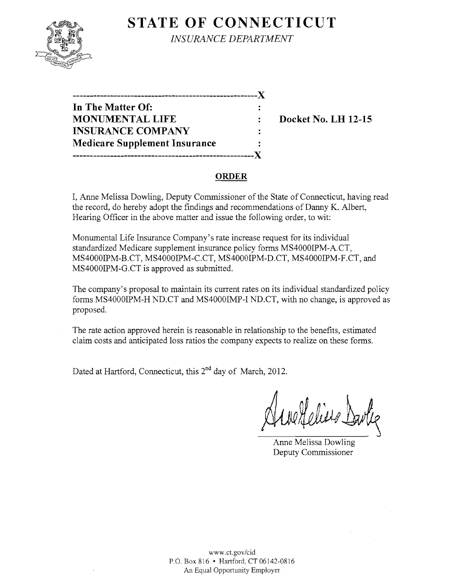# **STATE OF CONNECTICUT**



*INSURANCE DEPARTMENT* 

| _______________________________      |  |
|--------------------------------------|--|
| In The Matter Of:                    |  |
| <b>MONUMENTAL LIFE</b>               |  |
| <b>INSURANCE COMPANY</b>             |  |
| <b>Medicare Supplement Insurance</b> |  |
|                                      |  |

**Docket No. LH 12-15** 

#### **ORDER**

I, Anne Melissa Dowling, Deputy Commissioner of the State of Connecticut, having read the record, do hereby adopt the findings and recommendations of Danny K. Albert, Hearing Officer in the above matter and issue the following order, to wit:

Monumental Life Insurance Company's rate increase request for its individual standardized Medicare supplement insurance policy forms MS4000IPM-A.CT, MS4000IPM-B.CT, MS4000IPM-C.CT, MS4000IPM-D.CT, MS4000IPM-F.CT, and MS4000IPM-G.CT is approved as submitted.

The company's proposal to maintain its current rates on its individual standardized policy forms MS4000IPM-H ND.CT and MS4000IMP-I ND.CT, with no change, is approved as proposed.

The rate action approved herein is reasonable in relationship to the benefits, estimated claim costs and anticipated loss ratios the company expects to realize on these forms.

Dated at Hartford, Connecticut, this 2<sup>nd</sup> day of March, 2012.

Helies Dutie

Anne Melissa Dowling Deputy Commissioner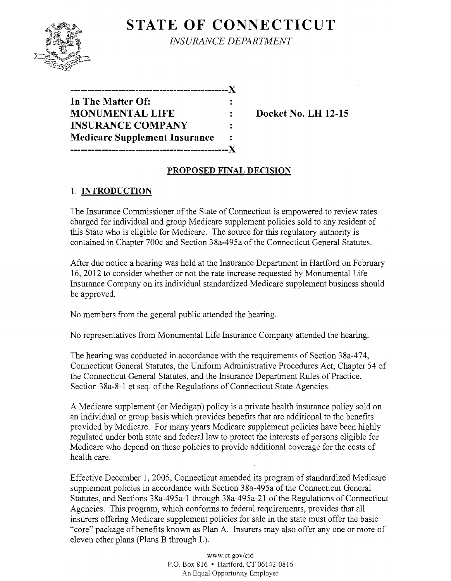# **STATE OF CONNECTICUT**



*INSURANCE DEPARTMENT* 

| In The Matter Of:                    |  |
|--------------------------------------|--|
| <b>MONUMENTAL LIFE</b>               |  |
| <b>INSURANCE COMPANY</b>             |  |
| <b>Medicare Supplement Insurance</b> |  |
|                                      |  |

**Docket No. LH 12-15** 

#### **PROPOSED FINAL DECISION**

### 1. **INTRODUCTION**

The Insurance Commissioner of the State of Connecticut is empowered to review rates charged for individual and group Medicare supplement policies sold to any resident of this State who is eligible for Medicare. The source for this regulatory authority is contained in Chapter 700c and Section 38a-495a of the Connecticut General Statutes.

After due notice a hearing was held at the Insurance Department in Hartford on February 16,2012 to consider whether or not the rate increase requested by Monumental Life Insurance Company on its individual standardized Medicare supplement business should be approved.

No members from the general public attended the hearing.

No representatives from Monumental Life Insurance Company attended the hearing.

The hearing was conducted in accordance with the requirements of Section 38a-474, Connecticut General Statutes, the Uniform Administrative Procedures Act, Chapter 54 of the Connecticut General Statutes, and the Insurance Department Rules of Practice, Section 38a-8-1 et seq. of the Regulations of Connecticut State Agencies.

A Medicare supplement (or Medigap) policy is a private health insurance policy sold on an individual or group basis which provides benefits that are additional to the benefits provided by Medicare. For many years Medicare supplement policies have been highly regulated under both state and federal law to protect the interests of persons eligible for Medicare who depend on these policies to provide additional coverage for the costs of health care.

Effective December 1, 2005, Connecticut amended its program of standardized Medicare supplement policies in accordance with Section 38a-495a of the Connecticut General Statutes, and Sections 38a-495a-1 through 38a-495a-21 of the Regulations of Connecticut Agencies. This program, which conforms to federal requirements, provides that all insurers offering Medicare supplement policies for sale in the state must offer the basic "core" package of benefits known as Plan A. Insurers may also offer anyone or more of eleven other plans (Plans B through L).

> www.CLgov/cid P.O. Box 816 • Hartford, CT 06142-0816 An Equal Opportunity Employer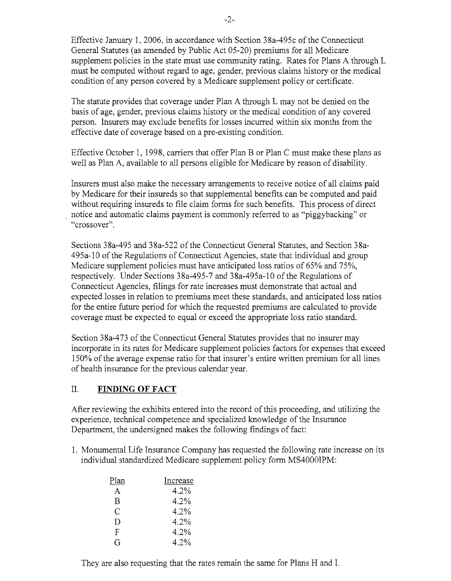Effective January 1,2006, in accordance with Section 38a-495c of the Connecticut General Statutes (as amended by Public Act 05-20) premiums for all Medicare supplement policies in the state must use community rating. Rates for Plans A through L must be computed without regard to age, gender, previous claims history or the medical condition of any person covered by a Medicare supplement policy or certificate.

The statute provides that coverage under Plan A through L may not be denied on the basis of age, gender, previous claims history or the medical condition of any covered person. Insurers may exclude benefits for losses incurred within six months from the effective date of coverage based on a pre-existing condition.

Effective October 1,1998, carriers that offer Plan B or Plan C must make these plans as well as Plan A, available to all persons eligible for Medicare by reason of disability.

Insurers must also make the necessary arrangements to receive notice of all claims paid by Medicare for their insureds so that supplemental benefits can be computed and paid without requiring insureds to file claim forms for such benefits. This process of direct , notice and automatic claims payment is commonly referred to as "piggybacking" or "crossover".

Sections 38a-495 and 38a-522 of the Connecticut General Statutes, and Section 38a-495a-10 of the Regulations of Connecticut Agencies, state that individual and group Medicare supplement policies must have anticipated loss ratios of 65% and 75%, respectively. Under Sections 38a-A95-7 and 38a-495a-10 of the Regulations of Connecticut Agencies, filings for rate increases must demonstrate that actual and expected losses in relation to premiums meet these standards, and anticipated loss ratios for the entire future period for which the requested premiums are calculated to provide coverage must be expected to equal or exceed the appropriate loss ratio standard.

Section 38a-473 of the Connecticut General Statutes provides that no insurer may incorporate in its rates for Medicare supplement policies factors for expenses that exceed 150% of the average expense ratio for that insurer's entire written premium for all lines of health insurance for the previous calendar year.

### II. **FINDING OF FACT**

After reviewing the exhibits entered into the record of this proceeding, and utilizing the experience, technical competence and specialized knowledge of the Insurance Department, the undersigned makes the following findings of fact:

1. Monumental Life Insurance Company has requested the following rate increase on its individual standardized Medicare supplement policy form MS4000IPM:

| Plan | Increase |
|------|----------|
| A    | 4.2%     |
| R    | 4.2%     |
| С    | 4.2%     |
| D    | 4.2%     |
| F    | 4.2%     |
| G    | 4.2%     |

They are also requesting that the rates remain the same for Plans H and 1.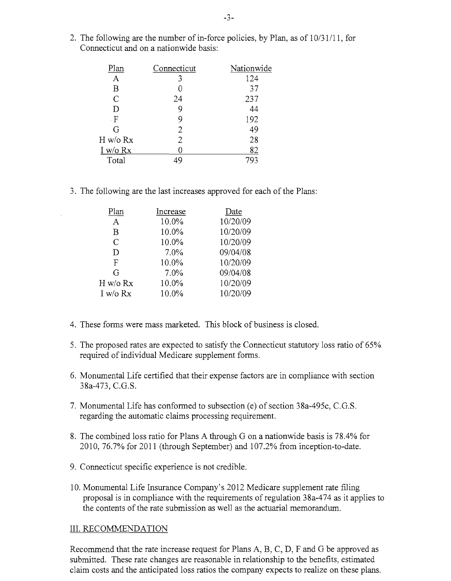2. The following are the number of in-force policies, by Plan, as of  $10/31/11$ , for Connecticut and on a nationwide basis:

| Plan          | Connecticut | Nationwide |
|---------------|-------------|------------|
| A             | 3           | 124        |
| Β             |             | 37         |
| $\mathcal{C}$ | 24          | .237       |
| D             |             | 44         |
| . $F$         | 9           | 192        |
| G             | 2           | 49         |
| H w/o Rx      | 2           | 28         |
| $I$ w/o $Rx$  |             | 82         |
| Total         | 49          | 793        |

3. The following are the last increases approved for each of the Plans:

| Increase | Date     |
|----------|----------|
| 10.0%    | 10/20/09 |
| 10.0%    | 10/20/09 |
| 10.0%    | 10/20/09 |
| 7.0%     | 09/04/08 |
| 10.0%    | 10/20/09 |
| 7.0%     | 09/04/08 |
| 10.0%    | 10/20/09 |
| 10.0%    | 10/20/09 |
|          |          |

- 4. These forms were mass marketed. This block of business is closed.
- 5. The proposed rates are expected to satisfy the Connecticut statutory loss ratio of 65% required of individual Medicare supplement forms.
- 6. Monumental Life certified that their expense factors are in compliance with section 38a-473, C.G.S.
- 7. Monumental Life has conformed to subsection (e) of section 38a-495c, C.G.S. regarding the automatic claims processing requirement.
- 8. The combined loss ratio for Plans A through G on a nationwide basis is 78.4% for 2010,76.7% for 2011 (through September) and 107.2% from inception-to-date.
- 9. Connecticut specific experience is not credible.
- 10. Monumental Life Insurance Company's 2012 Medicare supplement rate filing proposal is in compliance with the requirements of regulation 38a-474 as it applies to the contents of the rate submission as well as the actuarial memorandum.

#### III. RECOMMENDATION

Recommend that the rate increase request for Plans A, B, C, D, F and G be approved as submitted. These rate changes are reasonable in relationship to the benefits, estimated claim costs and the anticipated loss ratios the company expects to realize on these plans.